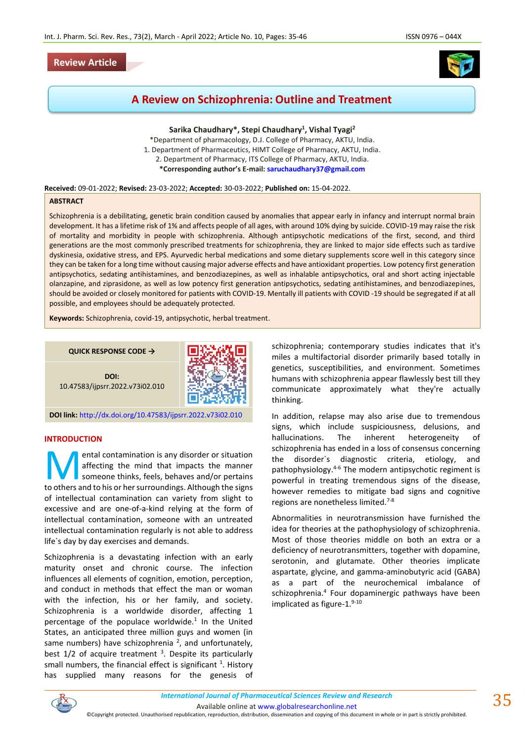## **Review Article**



# **A Review on Schizophrenia: Outline and Treatment**

**Sarika Chaudhary\*, Stepi Chaudhary<sup>1</sup> , Vishal Tyagi<sup>2</sup>**

\*Department of pharmacology, D.J. College of Pharmacy, AKTU, India. 1. Department of Pharmaceutics, HIMT College of Pharmacy, AKTU, India. 2. Department of Pharmacy, ITS College of Pharmacy, AKTU, India.

**\*Corresponding author's E-mail: [saruchaudhary37@gmail.com](mailto:saruchaudhary37@gmail.com)**

#### **Received:** 09-01-2022; **Revised:** 23-03-2022; **Accepted:** 30-03-2022; **Published on:** 15-04-2022.

### **ABSTRACT**

Schizophrenia is a debilitating, genetic brain condition caused by anomalies that appear early in infancy and interrupt normal brain development. It has a lifetime risk of 1% and affects people of all ages, with around 10% dying by suicide. COVID-19 may raise the risk of mortality and morbidity in people with schizophrenia. Although antipsychotic medications of the first, second, and third generations are the most commonly prescribed treatments for schizophrenia, they are linked to major side effects such as tardive dyskinesia, oxidative stress, and EPS. Ayurvedic herbal medications and some dietary supplements score well in this category since they can be taken for a long time without causing major adverse effects and have antioxidant properties. Low potency first generation antipsychotics, sedating antihistamines, and benzodiazepines, as well as inhalable antipsychotics, oral and short acting injectable olanzapine, and ziprasidone, as well as low potency first generation antipsychotics, sedating antihistamines, and benzodiazepines, should be avoided or closely monitored for patients with COVID-19. Mentally ill patients with COVID -19 should be segregated if at all possible, and employees should be adequately protected.

**Keywords:** Schizophrenia, covid-19, antipsychotic, herbal treatment.

**QUICK RESPONSE CODE →**



**DOI:** 10.47583/ijpsrr.2022.v73i02.010

**DOI link:** <http://dx.doi.org/10.47583/ijpsrr.2022.v73i02.010>

### **INTRODUCTION**

ental contamination is any disorder or situation affecting the mind that impacts the manner someone thinks, feels, behaves and/or pertains **the mind is any disorder or situation**<br>affecting the mind that impacts the manner<br>someone thinks, feels, behaves and/or pertains<br>to others and to his or her surroundings. Although the signs of intellectual contamination can variety from slight to excessive and are one-of-a-kind relying at the form of intellectual contamination, someone with an untreated intellectual contamination regularly is not able to address life`s day by day exercises and demands.

Schizophrenia is a devastating infection with an early maturity onset and chronic course. The infection influences all elements of cognition, emotion, perception, and conduct in methods that effect the man or woman with the infection, his or her family, and society. Schizophrenia is a worldwide disorder, affecting 1 percentage of the populace worldwide.<sup>1</sup> In the United States, an anticipated three million guys and women (in same numbers) have schizophrenia  $^2$ , and unfortunately, best 1/2 of acquire treatment <sup>3</sup>. Despite its particularly small numbers, the financial effect is significant  $^1$ . History has supplied many reasons for the genesis of

schizophrenia; contemporary studies indicates that it's miles a multifactorial disorder primarily based totally in genetics, susceptibilities, and environment. Sometimes humans with schizophrenia appear flawlessly best till they communicate approximately what they're actually thinking.

In addition, relapse may also arise due to tremendous signs, which include suspiciousness, delusions, and hallucinations. The inherent heterogeneity of schizophrenia has ended in a loss of consensus concerning the disorder`s diagnostic criteria, etiology, and pathophysiology.4-6 The modern antipsychotic regiment is powerful in treating tremendous signs of the disease, however remedies to mitigate bad signs and cognitive regions are nonetheless limited.7-8

Abnormalities in neurotransmission have furnished the idea for theories at the pathophysiology of schizophrenia. Most of those theories middle on both an extra or a deficiency of neurotransmitters, together with dopamine, serotonin, and glutamate. Other theories implicate aspartate, glycine, and gamma-aminobutyric acid (GABA) as a part of the neurochemical imbalance of schizophrenia.<sup>4</sup> Four dopaminergic pathways have been implicated as figure-1. 9-10



*International Journal of Pharmaceutical Sciences Review and Research International Journal of Pharmaceutical Sciences Review and Research*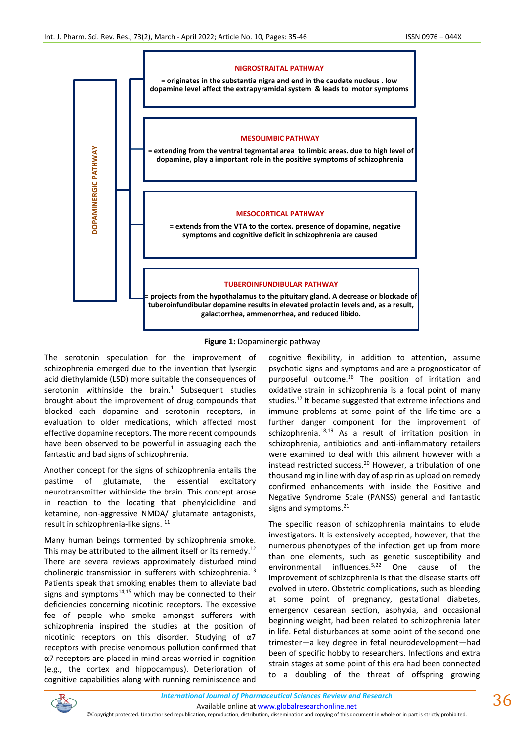

## **Figure 1:** Dopaminergic pathway

The serotonin speculation for the improvement of schizophrenia emerged due to the invention that lysergic acid diethylamide (LSD) more suitable the consequences of serotonin withinside the brain. $1$  Subsequent studies brought about the improvement of drug compounds that blocked each dopamine and serotonin receptors, in evaluation to older medications, which affected most effective dopamine receptors. The more recent compounds have been observed to be powerful in assuaging each the fantastic and bad signs of schizophrenia.

Another concept for the signs of schizophrenia entails the pastime of glutamate, the essential excitatory neurotransmitter withinside the brain. This concept arose in reaction to the locating that phenylciclidine and ketamine, non-aggressive NMDA/ glutamate antagonists, result in schizophrenia-like signs. <sup>11</sup>

Many human beings tormented by schizophrenia smoke. This may be attributed to the ailment itself or its remedy.<sup>12</sup> There are severa reviews approximately disturbed mind cholinergic transmission in sufferers with schizophrenia.<sup>13</sup> Patients speak that smoking enables them to alleviate bad signs and symptoms $14,15$  which may be connected to their deficiencies concerning nicotinic receptors. The excessive fee of people who smoke amongst sufferers with schizophrenia inspired the studies at the position of nicotinic receptors on this disorder. Studying of  $\alpha$ 7 receptors with precise venomous pollution confirmed that α7 receptors are placed in mind areas worried in cognition (e.g., the cortex and hippocampus). Deterioration of cognitive capabilities along with running reminiscence and

cognitive flexibility, in addition to attention, assume psychotic signs and symptoms and are a prognosticator of purposeful outcome.<sup>16</sup> The position of irritation and oxidative strain in schizophrenia is a focal point of many studies.<sup>17</sup> It became suggested that extreme infections and immune problems at some point of the life-time are a further danger component for the improvement of schizophrenia. $18,19$  As a result of irritation position in schizophrenia, antibiotics and anti-inflammatory retailers were examined to deal with this ailment however with a instead restricted success.<sup>20</sup> However, a tribulation of one thousand mg in line with day of aspirin as upload on remedy confirmed enhancements with inside the Positive and Negative Syndrome Scale (PANSS) general and fantastic signs and symptoms. 21

The specific reason of schizophrenia maintains to elude investigators. It is extensively accepted, however, that the numerous phenotypes of the infection get up from more than one elements, such as genetic susceptibility and environmental influences.<sup>5,22</sup> One cause of the improvement of schizophrenia is that the disease starts off evolved in utero. Obstetric complications, such as bleeding at some point of pregnancy, gestational diabetes, emergency cesarean section, asphyxia, and occasional beginning weight, had been related to schizophrenia later in life. Fetal disturbances at some point of the second one trimester—a key degree in fetal neurodevelopment—had been of specific hobby to researchers. Infections and extra strain stages at some point of this era had been connected to a doubling of the threat of offspring growing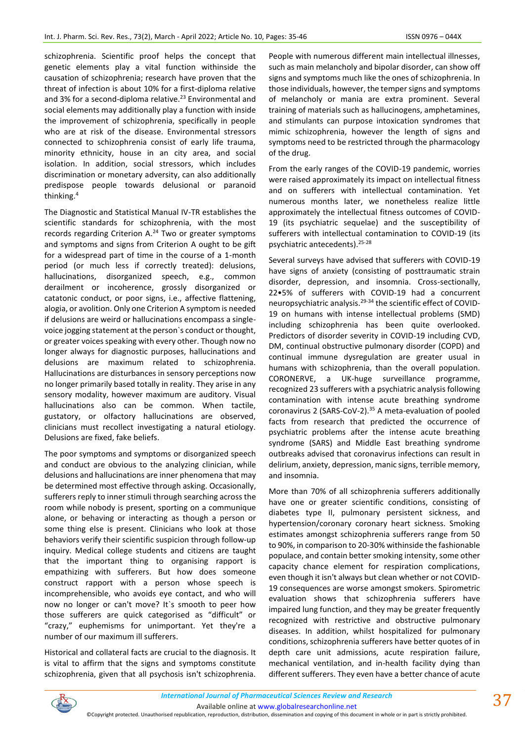schizophrenia. Scientific proof helps the concept that genetic elements play a vital function withinside the causation of schizophrenia; research have proven that the threat of infection is about 10% for a first-diploma relative and 3% for a second-diploma relative.<sup>23</sup> Environmental and social elements may additionally play a function with inside the improvement of schizophrenia, specifically in people who are at risk of the disease. Environmental stressors connected to schizophrenia consist of early life trauma, minority ethnicity, house in an city area, and social isolation. In addition, social stressors, which includes discrimination or monetary adversity, can also additionally predispose people towards delusional or paranoid thinking.<sup>4</sup>

The Diagnostic and Statistical Manual IV-TR establishes the scientific standards for schizophrenia, with the most records regarding Criterion A.<sup>24</sup> Two or greater symptoms and symptoms and signs from Criterion A ought to be gift for a widespread part of time in the course of a 1-month period (or much less if correctly treated): delusions, hallucinations, disorganized speech, e.g., common derailment or incoherence, grossly disorganized or catatonic conduct, or poor signs, i.e., affective flattening, alogia, or avolition. Only one Criterion A symptom is needed if delusions are weird or hallucinations encompass a singlevoice jogging statement at the person`s conduct or thought, or greater voices speaking with every other. Though now no longer always for diagnostic purposes, hallucinations and delusions are maximum related to schizophrenia. Hallucinations are disturbances in sensory perceptions now no longer primarily based totally in reality. They arise in any sensory modality, however maximum are auditory. Visual hallucinations also can be common. When tactile, gustatory, or olfactory hallucinations are observed, clinicians must recollect investigating a natural etiology. Delusions are fixed, fake beliefs.

The poor symptoms and symptoms or disorganized speech and conduct are obvious to the analyzing clinician, while delusions and hallucinations are inner phenomena that may be determined most effective through asking. Occasionally, sufferers reply to inner stimuli through searching across the room while nobody is present, sporting on a communique alone, or behaving or interacting as though a person or some thing else is present. Clinicians who look at those behaviors verify their scientific suspicion through follow-up inquiry. Medical college students and citizens are taught that the important thing to organising rapport is empathizing with sufferers. But how does someone construct rapport with a person whose speech is incomprehensible, who avoids eye contact, and who will now no longer or can't move? It`s smooth to peer how those sufferers are quick categorised as "difficult" or "crazy," euphemisms for unimportant. Yet they're a number of our maximum ill sufferers.

Historical and collateral facts are crucial to the diagnosis. It is vital to affirm that the signs and symptoms constitute schizophrenia, given that all psychosis isn't schizophrenia. People with numerous different main intellectual illnesses, such as main melancholy and bipolar disorder, can show off signs and symptoms much like the ones of schizophrenia. In those individuals, however, the temper signs and symptoms of melancholy or mania are extra prominent. Several training of materials such as hallucinogens, amphetamines, and stimulants can purpose intoxication syndromes that mimic schizophrenia, however the length of signs and symptoms need to be restricted through the pharmacology of the drug.

From the early ranges of the COVID-19 pandemic, worries were raised approximately its impact on intellectual fitness and on sufferers with intellectual contamination. Yet numerous months later, we nonetheless realize little approximately the intellectual fitness outcomes of COVID-19 (its psychiatric sequelae) and the susceptibility of sufferers with intellectual contamination to COVID-19 (its psychiatric antecedents).25-28

Several surveys have advised that sufferers with COVID-19 have signs of anxiety (consisting of posttraumatic strain disorder, depression, and insomnia. Cross-sectionally, 22•5% of sufferers with COVID-19 had a concurrent neuropsychiatric analysis.<sup>29-34</sup> the scientific effect of COVID-19 on humans with intense intellectual problems (SMD) including schizophrenia has been quite overlooked. Predictors of disorder severity in COVID-19 including CVD, DM, continual obstructive pulmonary disorder (COPD) and continual immune dysregulation are greater usual in humans with schizophrenia, than the overall population. CORONERVE, a UK-huge surveillance programme, recognized 23 sufferers with a psychiatric analysis following contamination with intense acute breathing syndrome coronavirus 2 (SARS-CoV-2).<sup>35</sup> A meta-evaluation of pooled facts from research that predicted the occurrence of psychiatric problems after the intense acute breathing syndrome (SARS) and Middle East breathing syndrome outbreaks advised that coronavirus infections can result in delirium, anxiety, depression, manic signs, terrible memory, and insomnia.

More than 70% of all schizophrenia sufferers additionally have one or greater scientific conditions, consisting of diabetes type II, pulmonary persistent sickness, and hypertension/coronary coronary heart sickness. Smoking estimates amongst schizophrenia sufferers range from 50 to 90%, in comparison to 20-30% withinside the fashionable populace, and contain better smoking intensity, some other capacity chance element for respiration complications, even though it isn't always but clean whether or not COVID-19 consequences are worse amongst smokers. Spirometric evaluation shows that schizophrenia sufferers have impaired lung function, and they may be greater frequently recognized with restrictive and obstructive pulmonary diseases. In addition, whilst hospitalized for pulmonary conditions, schizophrenia sufferers have better quotes of in depth care unit admissions, acute respiration failure, mechanical ventilation, and in-health facility dying than different sufferers. They even have a better chance of acute

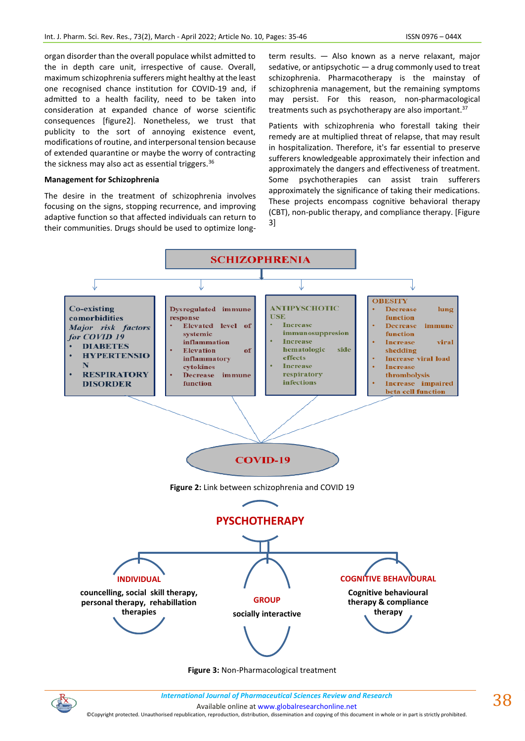organ disorder than the overall populace whilst admitted to the in depth care unit, irrespective of cause. Overall, maximum schizophrenia sufferers might healthy at the least one recognised chance institution for COVID-19 and, if admitted to a health facility, need to be taken into consideration at expanded chance of worse scientific consequences [figure2]. Nonetheless, we trust that publicity to the sort of annoying existence event, modifications of routine, and interpersonal tension because of extended quarantine or maybe the worry of contracting the sickness may also act as essential triggers.<sup>36</sup>

#### **Management for Schizophrenia**

The desire in the treatment of schizophrenia involves focusing on the signs, stopping recurrence, and improving adaptive function so that affected individuals can return to their communities. Drugs should be used to optimize longterm results. — Also known as a nerve relaxant, major sedative, or antipsychotic — a drug commonly used to treat schizophrenia. Pharmacotherapy is the mainstay of schizophrenia management, but the remaining symptoms may persist. For this reason, non-pharmacological treatments such as psychotherapy are also important. 37

Patients with schizophrenia who forestall taking their remedy are at multiplied threat of relapse, that may result in hospitalization. Therefore, it's far essential to preserve sufferers knowledgeable approximately their infection and approximately the dangers and effectiveness of treatment. Some psychotherapies can assist train sufferers approximately the significance of taking their medications. These projects encompass cognitive behavioral therapy (CBT), non-public therapy, and compliance therapy. [Figure 3]



**Figure 3:** Non-Pharmacological treatment

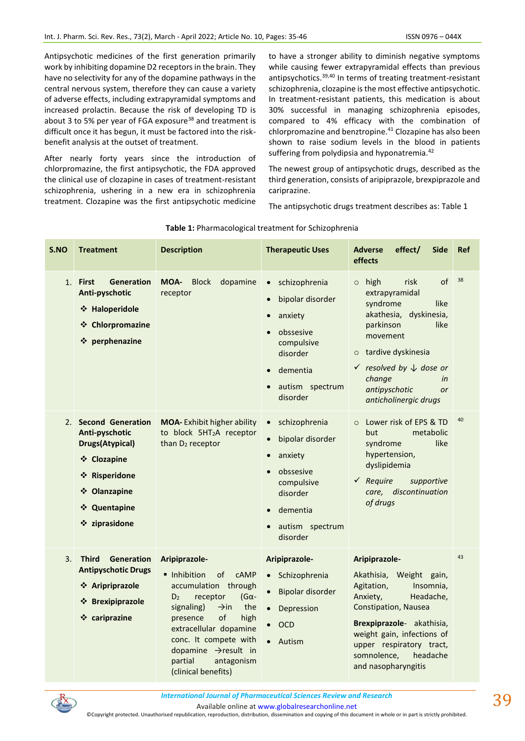Antipsychotic medicines of the first generation primarily work by inhibiting dopamine D2 receptors in the brain. They have no selectivity for any of the dopamine pathways in the central nervous system, therefore they can cause a variety of adverse effects, including extrapyramidal symptoms and increased prolactin. Because the risk of developing TD is about 3 to 5% per year of FGA exposure<sup>38</sup> and treatment is difficult once it has begun, it must be factored into the riskbenefit analysis at the outset of treatment.

After nearly forty years since the introduction of chlorpromazine, the first antipsychotic, the FDA approved the clinical use of clozapine in cases of treatment-resistant schizophrenia, ushering in a new era in schizophrenia treatment. Clozapine was the first antipsychotic medicine to have a stronger ability to diminish negative symptoms while causing fewer extrapyramidal effects than previous antipsychotics.<sup>39,40</sup> In terms of treating treatment-resistant schizophrenia, clozapine is the most effective antipsychotic. In treatment-resistant patients, this medication is about 30% successful in managing schizophrenia episodes, compared to 4% efficacy with the combination of chlorpromazine and benztropine.<sup>41</sup> Clozapine has also been shown to raise sodium levels in the blood in patients suffering from polydipsia and hyponatremia.<sup>42</sup>

The newest group of antipsychotic drugs, described as the third generation, consists of aripiprazole, brexpiprazole and cariprazine.

The antipsychotic drugs treatment describes as: Table 1

| S.NO | <b>Treatment</b>                                                                                                                                      | <b>Description</b>                                                                                                                                                                                                                                                                                                     | <b>Therapeutic Uses</b>                                                                                                                                                            | <b>Adverse</b><br>effect/<br><b>Side</b><br>effects                                                                                                                                                                                                                              | <b>Ref</b> |
|------|-------------------------------------------------------------------------------------------------------------------------------------------------------|------------------------------------------------------------------------------------------------------------------------------------------------------------------------------------------------------------------------------------------------------------------------------------------------------------------------|------------------------------------------------------------------------------------------------------------------------------------------------------------------------------------|----------------------------------------------------------------------------------------------------------------------------------------------------------------------------------------------------------------------------------------------------------------------------------|------------|
| 1.   | <b>First</b><br><b>Generation</b><br>Anti-pyschotic<br>❖ Haloperidole<br>❖ Chlorpromazine<br>❖ perphenazine                                           | MOA-<br><b>Block</b><br>dopamine<br>receptor                                                                                                                                                                                                                                                                           | schizophrenia<br>$\bullet$<br>bipolar disorder<br>$\bullet$<br>anxiety<br>$\bullet$<br>obssesive<br>compulsive<br>disorder<br>dementia<br>autism spectrum<br>disorder              | of<br>risk<br>high<br>$\circ$<br>extrapyramidal<br>syndrome<br>like<br>akathesia, dyskinesia,<br>like<br>parkinson<br>movement<br>tardive dyskinesia<br>$\circ$<br>$\checkmark$ resolved by $\downarrow$ dose or<br>change<br>in<br>antipyschotic<br>or<br>anticholinergic drugs | 38         |
| 2.   | <b>Second Generation</b><br>Anti-pyschotic<br><b>Drugs(Atypical)</b><br>❖ Clozapine<br>❖ Risperidone<br>❖ Olanzapine<br>❖ Quentapine<br>❖ ziprasidone | <b>MOA-Exhibit higher ability</b><br>to block 5HT <sub>2</sub> A receptor<br>than D <sub>2</sub> receptor                                                                                                                                                                                                              | schizophrenia<br>$\bullet$<br>bipolar disorder<br>$\bullet$<br>anxiety<br>$\bullet$<br>obssesive<br>$\bullet$<br>compulsive<br>disorder<br>dementia<br>autism spectrum<br>disorder | Lower risk of EPS & TD<br>$\Omega$<br>metabolic<br>but<br>syndrome<br>like<br>hypertension,<br>dyslipidemia<br>$\checkmark$ Require<br>supportive<br>care, discontinuation<br>of drugs                                                                                           | 40         |
| 3.   | <b>Third</b><br><b>Generation</b><br><b>Antipyschotic Drugs</b><br>❖ Aripriprazole<br>❖ Brexipiprazole<br>❖ cariprazine                               | Aripiprazole-<br>• Inhibition<br>of<br><b>CAMP</b><br>accumulation through<br>$(G\alpha -$<br>D <sub>2</sub><br>receptor<br>signaling)<br>the<br>$\rightarrow$ in<br>of<br>high<br>presence<br>extracellular dopamine<br>conc. It compete with<br>dopamine → result in<br>partial<br>antagonism<br>(clinical benefits) | Aripiprazole-<br>Schizophrenia<br>$\bullet$<br>Bipolar disorder<br>$\bullet$<br>Depression<br>$\bullet$<br><b>OCD</b><br>$\bullet$<br>Autism                                       | Aripiprazole-<br>Weight gain,<br>Akathisia,<br>Agitation,<br>Insomnia,<br>Anxiety,<br>Headache,<br>Constipation, Nausea<br>Brexpiprazole- akathisia,<br>weight gain, infections of<br>upper respiratory tract,<br>somnolence,<br>headache<br>and nasopharyngitis                 | 43         |

# **Table 1:** Pharmacological treatment for Schizophrenia



*International Journal of Pharmaceutical Sciences Review and Research International Journal of Pharmaceutical Sciences Review and Research* Available online a[t www.globalresearchonline.net](http://www.globalresearchonline.net/)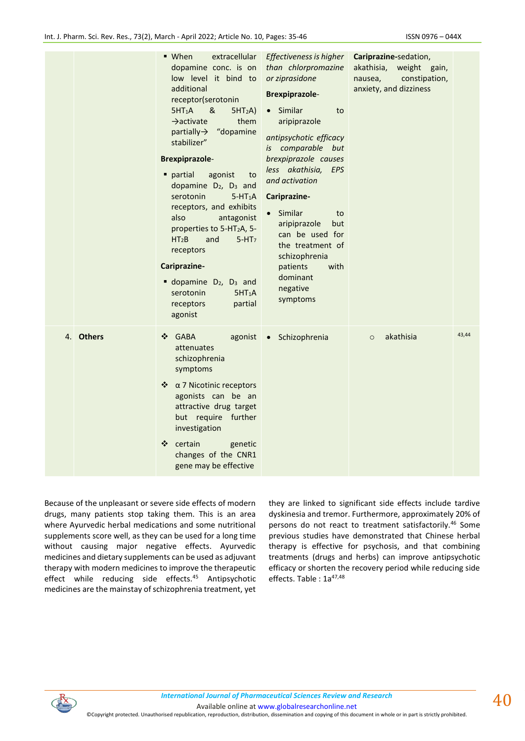|    |               | ■ When<br>extracellular<br>dopamine conc. is on<br>low level it bind to<br>additional<br>receptor(serotonin<br>&<br>5HT <sub>1</sub> A<br>5HT <sub>2</sub> A<br>$\rightarrow$ activate<br>them<br>partially-> "dopamine<br>stabilizer"<br><b>Brexpiprazole-</b><br>partial<br>agonist<br>to<br>dopamine D <sub>2</sub> , D <sub>3</sub> and<br>serotonin<br>$5-HT_1A$<br>receptors, and exhibits<br>also<br>antagonist<br>properties to 5-HT <sub>2</sub> A, 5-<br>HT <sub>2</sub> B<br>and<br>$5-HT7$<br>receptors<br>Cariprazine-<br>dopamine D <sub>2</sub> , D <sub>3</sub> and<br>serotonin<br>5HT <sub>1</sub> A<br>partial<br>receptors<br>agonist | Effectiveness is higher<br>than chlorpromazine<br>or ziprasidone<br><b>Brexpiprazole-</b><br>Similar<br>to<br>aripiprazole<br>antipsychotic efficacy<br>is comparable but<br>brexpiprazole causes<br>less akathisia,<br>EPS<br>and activation<br>Cariprazine-<br>Similar<br>to<br>aripiprazole<br>but<br>can be used for<br>the treatment of<br>schizophrenia<br>with<br>patients<br>dominant<br>negative<br>symptoms | Cariprazine-sedation,<br>akathisia, weight gain,<br>constipation,<br>nausea,<br>anxiety, and dizziness |       |
|----|---------------|-----------------------------------------------------------------------------------------------------------------------------------------------------------------------------------------------------------------------------------------------------------------------------------------------------------------------------------------------------------------------------------------------------------------------------------------------------------------------------------------------------------------------------------------------------------------------------------------------------------------------------------------------------------|-----------------------------------------------------------------------------------------------------------------------------------------------------------------------------------------------------------------------------------------------------------------------------------------------------------------------------------------------------------------------------------------------------------------------|--------------------------------------------------------------------------------------------------------|-------|
| 4. | <b>Others</b> | <b>GABA</b><br>❖<br>agonist<br>attenuates<br>schizophrenia<br>symptoms<br>* α 7 Nicotinic receptors<br>agonists can be an<br>attractive drug target<br>but require further<br>investigation<br>certain<br>❖<br>genetic<br>changes of the CNR1<br>gene may be effective                                                                                                                                                                                                                                                                                                                                                                                    | Schizophrenia<br>$\bullet$                                                                                                                                                                                                                                                                                                                                                                                            | akathisia<br>$\circ$                                                                                   | 43,44 |

Because of the unpleasant or severe side effects of modern drugs, many patients stop taking them. This is an area where Ayurvedic herbal medications and some nutritional supplements score well, as they can be used for a long time without causing major negative effects. Ayurvedic medicines and dietary supplements can be used as adjuvant therapy with modern medicines to improve the therapeutic effect while reducing side effects.<sup>45</sup> Antipsychotic medicines are the mainstay of schizophrenia treatment, yet they are linked to significant side effects include tardive dyskinesia and tremor. Furthermore, approximately 20% of persons do not react to treatment satisfactorily.<sup>46</sup> Some previous studies have demonstrated that Chinese herbal therapy is effective for psychosis, and that combining treatments (drugs and herbs) can improve antipsychotic efficacy or shorten the recovery period while reducing side effects. Table: 1a<sup>47,48</sup>



*International Journal of Pharmaceutical Sciences Review and Research International Journal of Pharmaceutical Sciences Review and Research*

Available online a[t www.globalresearchonline.net](http://www.globalresearchonline.net/)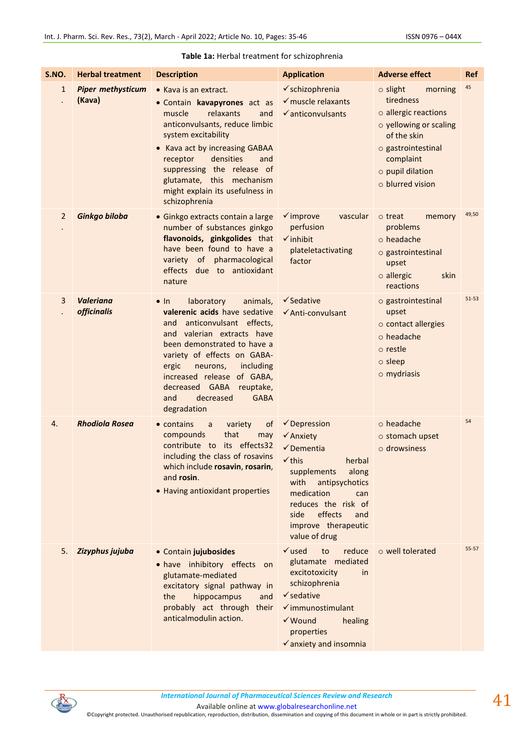| S.NO.          | <b>Herbal treatment</b>                | <b>Description</b>                                                                                                                                                                                                                                                                                                                                     | <b>Application</b>                                                                                                                                                                                                                                           | <b>Adverse effect</b>                                                                                                                                                                    | <b>Ref</b> |
|----------------|----------------------------------------|--------------------------------------------------------------------------------------------------------------------------------------------------------------------------------------------------------------------------------------------------------------------------------------------------------------------------------------------------------|--------------------------------------------------------------------------------------------------------------------------------------------------------------------------------------------------------------------------------------------------------------|------------------------------------------------------------------------------------------------------------------------------------------------------------------------------------------|------------|
| 1              | <b>Piper methysticum</b><br>(Kava)     | • Kava is an extract.<br>· Contain kavapyrones act as<br>relaxants<br>muscle<br>and<br>anticonvulsants, reduce limbic<br>system excitability<br>• Kava act by increasing GABAA<br>densities<br>receptor<br>and<br>suppressing the release of<br>glutamate, this mechanism<br>might explain its usefulness in<br>schizophrenia                          | √ schizophrenia<br>$\checkmark$ muscle relaxants<br>$\checkmark$ anticonvulsants                                                                                                                                                                             | $\circ$ slight<br>morning<br>tiredness<br>o allergic reactions<br>o yellowing or scaling<br>of the skin<br>o gastrointestinal<br>complaint<br>$\circ$ pupil dilation<br>o blurred vision | 45         |
| $\overline{2}$ | Ginkgo biloba                          | · Ginkgo extracts contain a large<br>number of substances ginkgo<br>flavonoids, ginkgolides that<br>have been found to have a<br>variety of pharmacological<br>effects due to antioxidant<br>nature                                                                                                                                                    | $\checkmark$ improve<br>vascular<br>perfusion<br>$\checkmark$ inhibit<br>plateletactivating<br>factor                                                                                                                                                        | $\circ$ treat<br>memory<br>problems<br>$\circ$ headache<br>o gastrointestinal<br>upset<br>$\circ$ allergic<br>skin<br>reactions                                                          | 49,50      |
| 3              | <b>Valeriana</b><br><b>officinalis</b> | $\bullet$ In<br>laboratory<br>animals.<br>valerenic acids have sedative<br>anticonvulsant effects,<br>and<br>and valerian extracts have<br>been demonstrated to have a<br>variety of effects on GABA-<br>ergic<br>neurons,<br>including<br>increased release of GABA,<br>decreased GABA<br>reuptake,<br>decreased<br><b>GABA</b><br>and<br>degradation | $\checkmark$ Sedative<br>✔ Anti-convulsant                                                                                                                                                                                                                   | o gastrointestinal<br>upset<br>o contact allergies<br>$\circ$ headache<br>o restle<br>$\circ$ sleep<br>$\circ$ mydriasis                                                                 | $51 - 53$  |
| 4.             | <b>Rhodiola Rosea</b>                  | • contains<br>variety<br>of<br>a<br>compounds<br>that<br>may<br>contribute to its effects32<br>including the class of rosavins<br>which include rosavin, rosarin,<br>and rosin.<br>• Having antioxidant properties                                                                                                                                     | $\checkmark$ Depression<br>$\checkmark$ Anxiety<br>✔ Dementia<br>$\checkmark$ this<br>herbal<br>supplements<br>along<br>with<br>antipsychotics<br>medication<br>can<br>reduces the risk of<br>effects<br>side<br>and<br>improve therapeutic<br>value of drug | $\circ$ headache<br>o stomach upset<br>o drowsiness                                                                                                                                      | 54         |
| 5.             | Zizyphus jujuba                        | • Contain jujubosides<br>· have inhibitory effects on<br>glutamate-mediated<br>excitatory signal pathway in<br>hippocampus<br>the<br>and<br>probably act through their<br>anticalmodulin action.                                                                                                                                                       | $\checkmark$ used<br>reduce<br>to<br>glutamate mediated<br>excitotoxicity<br>in<br>schizophrenia<br>$\checkmark$ sedative<br>$\checkmark$ immunostimulant<br>$\checkmark$ Wound<br>healing<br>properties<br>√ anxiety and insomnia                           | o well tolerated                                                                                                                                                                         | $55 - 57$  |

## **Table 1a:** Herbal treatment for schizophrenia



Available online a[t www.globalresearchonline.net](http://www.globalresearchonline.net/)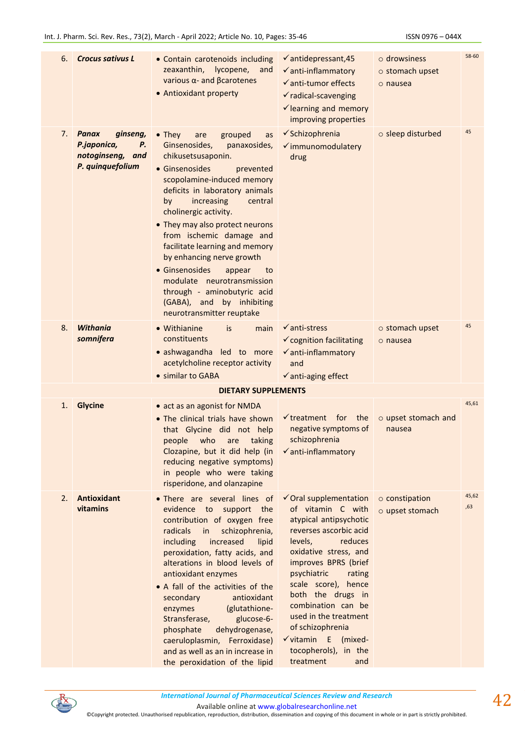| 6. | <b>Crocus sativus L</b>                                                           | • Contain carotenoids including<br>zeaxanthin,<br>lycopene,<br>and<br>various $\alpha$ - and $\beta$ carotenes<br>• Antioxidant property                                                                                                                                                                                                                                                                                                                                                                                                    | $\checkmark$ antidepressant, 45<br>$\checkmark$ anti-inflammatory<br>$\checkmark$ anti-tumor effects<br>$\checkmark$ radical-scavenging<br>$\checkmark$ learning and memory<br>improving properties                                                                                                                                                                                                     | $\circ$ drowsiness<br>$\circ$ stomach upset<br>$\circ$ nausea | 58-60        |
|----|-----------------------------------------------------------------------------------|---------------------------------------------------------------------------------------------------------------------------------------------------------------------------------------------------------------------------------------------------------------------------------------------------------------------------------------------------------------------------------------------------------------------------------------------------------------------------------------------------------------------------------------------|---------------------------------------------------------------------------------------------------------------------------------------------------------------------------------------------------------------------------------------------------------------------------------------------------------------------------------------------------------------------------------------------------------|---------------------------------------------------------------|--------------|
| 7. | Panax<br>ginseng,<br>Р.<br>P.japonica,<br>notoginseng,<br>and<br>P. quinquefolium | $\bullet$ They<br>grouped<br>are<br>as<br>Ginsenosides,<br>panaxosides,<br>chikusetsusaponin.<br>• Ginsenosides<br>prevented<br>scopolamine-induced memory<br>deficits in laboratory animals<br>increasing<br>by<br>central<br>cholinergic activity.<br>• They may also protect neurons<br>from ischemic damage and<br>facilitate learning and memory<br>by enhancing nerve growth<br>• Ginsenosides<br>appear<br>to<br>modulate neurotransmission<br>through - aminobutyric acid<br>(GABA), and by inhibiting<br>neurotransmitter reuptake | √ Schizophrenia<br>v immunomodulatery<br>drug                                                                                                                                                                                                                                                                                                                                                           | o sleep disturbed                                             | 45           |
| 8. | Withania<br>somnifera                                                             | • Withianine<br>is.<br>main<br>constituents<br>• ashwagandha led to more<br>acetylcholine receptor activity<br>• similar to GABA                                                                                                                                                                                                                                                                                                                                                                                                            | $\checkmark$ anti-stress<br>✓ cognition facilitating<br>$\checkmark$ anti-inflammatory<br>and<br>$\checkmark$ anti-aging effect                                                                                                                                                                                                                                                                         | o stomach upset<br>$\circ$ nausea                             | 45           |
|    |                                                                                   | <b>DIETARY SUPPLEMENTS</b>                                                                                                                                                                                                                                                                                                                                                                                                                                                                                                                  |                                                                                                                                                                                                                                                                                                                                                                                                         |                                                               |              |
| 1. | <b>Glycine</b>                                                                    | • act as an agonist for NMDA<br>• The clinical trials have shown<br>that Glycine did not help<br>people who are taking<br>Clozapine, but it did help (in<br>reducing negative symptoms)<br>in people who were taking<br>risperidone, and olanzapine                                                                                                                                                                                                                                                                                         | $\checkmark$ treatment for the<br>negative symptoms of<br>schizophrenia<br>$\checkmark$ anti-inflammatory                                                                                                                                                                                                                                                                                               | o upset stomach and<br>nausea                                 | 45,61        |
| 2. | <b>Antioxidant</b><br>vitamins                                                    | • There are several lines of<br>evidence to support<br>the<br>contribution of oxygen free<br>radicals<br>schizophrenia,<br>in<br>including<br>increased<br>lipid<br>peroxidation, fatty acids, and<br>alterations in blood levels of<br>antioxidant enzymes<br>• A fall of the activities of the<br>antioxidant<br>secondary<br>(glutathione-<br>enzymes<br>Stransferase,<br>glucose-6-<br>phosphate<br>dehydrogenase,<br>caeruloplasmin, Ferroxidase)<br>and as well as an in increase in<br>the peroxidation of the lipid                 | $\checkmark$ Oral supplementation<br>of vitamin C with<br>atypical antipsychotic<br>reverses ascorbic acid<br>reduces<br>levels,<br>oxidative stress, and<br>improves BPRS (brief<br>psychiatric<br>rating<br>scale score), hence<br>both the drugs in<br>combination can be<br>used in the treatment<br>of schizophrenia<br>$\checkmark$ vitamin E (mixed-<br>tocopherols), in the<br>treatment<br>and | o constipation<br>o upset stomach                             | 45,62<br>,63 |

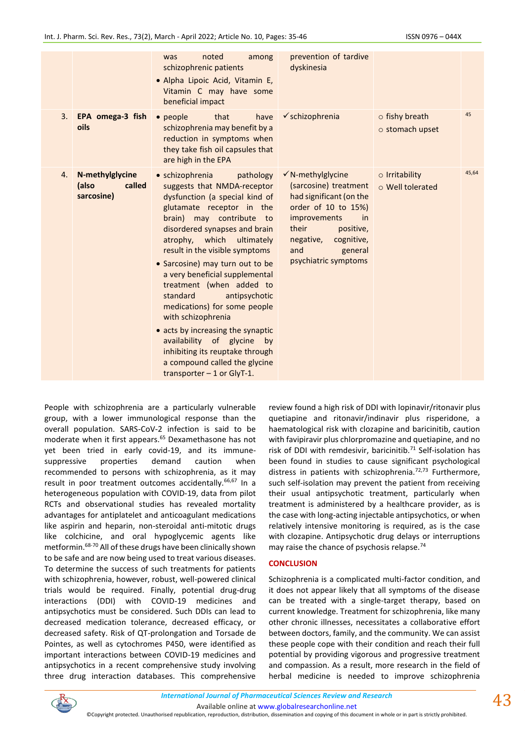|    |                                                  | noted<br>among<br>was<br>schizophrenic patients<br>· Alpha Lipoic Acid, Vitamin E,<br>Vitamin C may have some<br>beneficial impact                                                                                                                                                                                                                                                                                                                                                                                                                                                                                     | prevention of tardive<br>dyskinesia                                                                                                                                                                                      |                                          |       |
|----|--------------------------------------------------|------------------------------------------------------------------------------------------------------------------------------------------------------------------------------------------------------------------------------------------------------------------------------------------------------------------------------------------------------------------------------------------------------------------------------------------------------------------------------------------------------------------------------------------------------------------------------------------------------------------------|--------------------------------------------------------------------------------------------------------------------------------------------------------------------------------------------------------------------------|------------------------------------------|-------|
| 3. | EPA omega-3 fish<br>oils                         | • people<br>that<br>have<br>schizophrenia may benefit by a<br>reduction in symptoms when<br>they take fish oil capsules that<br>are high in the EPA                                                                                                                                                                                                                                                                                                                                                                                                                                                                    | $\checkmark$ schizophrenia                                                                                                                                                                                               | $\circ$ fishy breath<br>o stomach upset  | 45    |
| 4. | N-methylglycine<br>called<br>(also<br>sarcosine) | • schizophrenia<br>pathology<br>suggests that NMDA-receptor<br>dysfunction (a special kind of<br>glutamate receptor in the<br>brain) may contribute to<br>disordered synapses and brain<br>atrophy, which<br>ultimately<br>result in the visible symptoms<br>• Sarcosine) may turn out to be<br>a very beneficial supplemental<br>treatment (when added to<br>standard<br>antipsychotic<br>medications) for some people<br>with schizophrenia<br>• acts by increasing the synaptic<br>availability of glycine<br>by<br>inhibiting its reuptake through<br>a compound called the glycine<br>transporter $-1$ or GlyT-1. | $\checkmark$ N-methylglycine<br>(sarcosine) treatment<br>had significant (on the<br>order of 10 to 15%)<br>improvements<br>in<br>their<br>positive,<br>cognitive,<br>negative,<br>and<br>general<br>psychiatric symptoms | $\circ$ Irritability<br>o Well tolerated | 45,64 |

People with schizophrenia are a particularly vulnerable group, with a lower immunological response than the overall population. SARS-CoV-2 infection is said to be moderate when it first appears.<sup>65</sup> Dexamethasone has not yet been tried in early covid-19, and its immunesuppressive properties demand caution when recommended to persons with schizophrenia, as it may result in poor treatment outcomes accidentally.<sup>66,67</sup> In a heterogeneous population with COVID-19, data from pilot RCTs and observational studies has revealed mortality advantages for antiplatelet and anticoagulant medications like aspirin and heparin, non-steroidal anti-mitotic drugs like colchicine, and oral hypoglycemic agents like metformin.68-70 All of these drugs have been clinically shown to be safe and are now being used to treat various diseases. To determine the success of such treatments for patients with schizophrenia, however, robust, well-powered clinical trials would be required. Finally, potential drug-drug interactions (DDI) with COVID-19 medicines and antipsychotics must be considered. Such DDIs can lead to decreased medication tolerance, decreased efficacy, or decreased safety. Risk of QT-prolongation and Torsade de Pointes, as well as cytochromes P450, were identified as important interactions between COVID-19 medicines and antipsychotics in a recent comprehensive study involving three drug interaction databases. This comprehensive review found a high risk of DDI with lopinavir/ritonavir plus quetiapine and ritonavir/indinavir plus risperidone, a haematological risk with clozapine and baricinitib, caution with favipiravir plus chlorpromazine and quetiapine, and no risk of DDI with remdesivir, baricinitib.<sup>71</sup> Self-isolation has been found in studies to cause significant psychological distress in patients with schizophrenia.<sup>72,73</sup> Furthermore, such self-isolation may prevent the patient from receiving their usual antipsychotic treatment, particularly when treatment is administered by a healthcare provider, as is the case with long-acting injectable antipsychotics, or when relatively intensive monitoring is required, as is the case with clozapine. Antipsychotic drug delays or interruptions may raise the chance of psychosis relapse.<sup>74</sup>

## **CONCLUSION**

Schizophrenia is a complicated multi-factor condition, and it does not appear likely that all symptoms of the disease can be treated with a single-target therapy, based on current knowledge. Treatment for schizophrenia, like many other chronic illnesses, necessitates a collaborative effort between doctors, family, and the community. We can assist these people cope with their condition and reach their full potential by providing vigorous and progressive treatment and compassion. As a result, more research in the field of herbal medicine is needed to improve schizophrenia



*International Journal of Pharmaceutical Sciences Review and Research International Journal of Pharmaceutical Sciences Review and Research*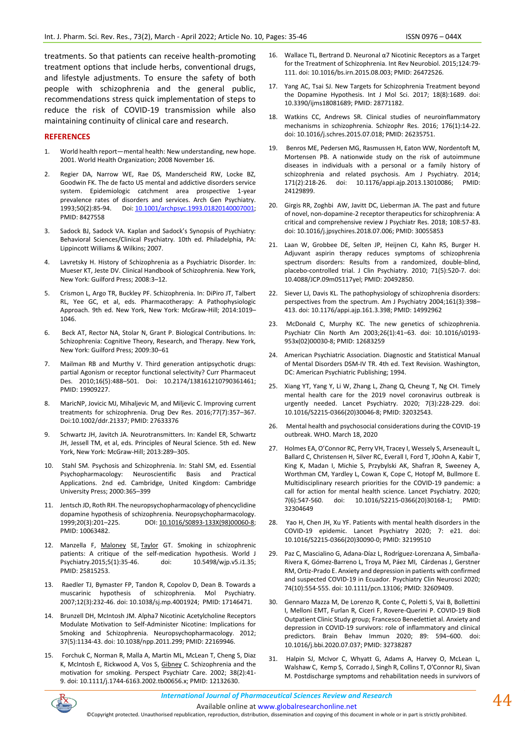treatments. So that patients can receive health-promoting treatment options that include herbs, conventional drugs, and lifestyle adjustments. To ensure the safety of both people with schizophrenia and the general public, recommendations stress quick implementation of steps to reduce the risk of COVID-19 transmission while also maintaining continuity of clinical care and research.

#### **REFERENCES**

- 1. World health report—mental health: New understanding, new hope. 2001. World Health Organization; 2008 November 16.
- 2. Regier DA, Narrow WE, Rae DS, Manderscheid RW, Locke BZ, Goodwin FK. The de facto US mental and addictive disorders service system. Epidemiologic catchment area prospective 1-year prevalence rates of disorders and services. Arch Gen Psychiatry. 1993;50(2):85-94. Doi: [10.1001/archpsyc.1993.01820140007001;](https://doi.org/10.1001/archpsyc.1993.01820140007001)  PMID: 8427558
- Sadock BJ, Sadock VA. Kaplan and Sadock's Synopsis of Psychiatry: Behavioral Sciences/Clinical Psychiatry. 10th ed. Philadelphia, PA: Lippincott Williams & Wilkins; 2007.
- 4. Lavretsky H. History of Schizophrenia as a Psychiatric Disorder. In: Mueser KT, Jeste DV. Clinical Handbook of Schizophrenia. New York, New York: Guilford Press; 2008:3–12.
- 5. Crismon L, Argo TR, Buckley PF. Schizophrenia. In: DiPiro JT, Talbert RL, Yee GC, et al, eds. Pharmacotherapy: A Pathophysiologic Approach. 9th ed. New York, New York: McGraw-Hill; 2014:1019– 1046.
- 6. Beck AT, Rector NA, Stolar N, Grant P. Biological Contributions. In: Schizophrenia: Cognitive Theory, Research, and Therapy. New York, New York: Guilford Press; 2009:30–61
- 7. Mailman RB and Murthy V. Third generation antipsychotic drugs: partial Agonism or receptor functional selectivity? Curr Pharmaceut Des. 2010;16(5):488–501. Doi: 10.2174/138161210790361461; PMID: 19909227.
- 8. MaricNP, Jovicic MJ, Mihaljevic M, and Miljevic C. Improving current treatments for schizophrenia. Drug Dev Res. 2016;77(7):357–367. Doi:10.1002/ddr.21337; PMID: 27633376
- 9. Schwartz JH, Javitch JA. Neurotransmitters. In: Kandel ER, Schwartz JH, Jessell TM, et al, eds. Principles of Neural Science. 5th ed. New York, New York: McGraw-Hill; 2013:289–305.
- 10. Stahl SM. Psychosis and Schizophrenia. In: Stahl SM, ed. Essential Psychopharmacology: Neuroscientific Basis and Practical Applications. 2nd ed. Cambridge, United Kingdom: Cambridge University Press; 2000:365–399
- 11. Jentsch JD, Roth RH. The neuropsychopharmacology of phencyclidine dopamine hypothesis of schizophrenia. Neuropsychopharmacology. 1999;20(3):201–225. DOI: [10.1016/S0893-133X\(98\)00060-8;](https://doi.org/10.1016/s0893-133x(98)00060-8)  PMID: 10063482.
- 12. Manzella F, [Maloney](https://pubmed.ncbi.nlm.nih.gov/?term=Maloney+SE&cauthor_id=25815253) SE, [Taylor](https://pubmed.ncbi.nlm.nih.gov/?term=Taylor+GT&cauthor_id=25815253) GT. Smoking in schizophrenic patients: A critique of the self-medication hypothesis. World J Psychiatry.2015;5(1):35-46. doi: 10.5498/wjp.v5.i1.35; PMID: 25815253.
- 13. Raedler TJ, Bymaster FP, Tandon R, Copolov D, Dean B. Towards a muscarinic hypothesis of schizophrenia. Mol Psychiatry. 2007;12(3):232-46. doi: 10.1038/sj.mp.4001924; PMID: 17146471.
- 14. Brunzell DH, McIntosh JM. Alpha7 Nicotinic Acetylcholine Receptors Modulate Motivation to Self-Administer Nicotine: Implications for Smoking and Schizophrenia. Neuropsychopharmacology. 2012; 37(5):1134-43. doi: 10.1038/npp.2011.299; PMID: 22169946.
- 15. Forchuk C, Norman R, Malla A, Martin ML, McLean T, Cheng S, Diaz K, McIntosh E, Rickwood A, Vos S, [Gibney](https://pubmed.ncbi.nlm.nih.gov/?term=Gibney+C&cauthor_id=12132630) C. Schizophrenia and the motivation for smoking. Perspect Psychiatr Care. 2002; 38(2):41- 9. doi: 10.1111/j.1744-6163.2002.tb00656.x; PMID: 12132630.
- 16. Wallace TL, Bertrand D. Neuronal α7 Nicotinic Receptors as a Target for the Treatment of Schizophrenia. Int Rev Neurobiol. 2015;124:79- 111. doi: 10.1016/bs.irn.2015.08.003; PMID: 26472526.
- 17. Yang AC, Tsai SJ. New Targets for Schizophrenia Treatment beyond the Dopamine Hypothesis. Int J Mol Sci. 2017; 18(8):1689. doi: 10.3390/ijms18081689; PMID: 28771182.
- 18. Watkins CC, Andrews SR. Clinical studies of neuroinflammatory mechanisms in schizophrenia. Schizophr Res. 2016; 176(1):14-22. doi: 10.1016/j.schres.2015.07.018; PMID: 26235751.
- 19. Benros ME, Pedersen MG, Rasmussen H, Eaton WW, Nordentoft M, Mortensen PB. A nationwide study on the risk of autoimmune diseases in individuals with a personal or a family history of schizophrenia and related psychosis. Am J Psychiatry. 2014; 171(2):218-26. doi: 10.1176/appi.ajp.2013.13010086; PMID: 24129899.
- 20. Girgis RR, Zoghbi AW, Javitt DC, Lieberman JA. The past and future of novel, non-dopamine-2 receptor therapeutics for schizophrenia: A critical and comprehensive review J Psychiatr Res. 2018; 108:57-83. doi: 10.1016/j.jpsychires.2018.07.006; PMID: 30055853
- 21. Laan W, Grobbee DE, Selten JP, Heijnen CJ, Kahn RS, Burger H. Adjuvant aspirin therapy reduces symptoms of schizophrenia spectrum disorders: Results from a randomized, double-blind, placebo-controlled trial. J Clin Psychiatry. 2010; 71(5):520-7. doi: 10.4088/JCP.09m05117yel; PMID: 20492850.
- 22. Siever LJ, Davis KL. The pathophysiology of schizophrenia disorders: perspectives from the spectrum. Am J Psychiatry 2004;161(3):398– 413. doi: 10.1176/appi.ajp.161.3.398; PMID: 14992962
- 23. McDonald C, Murphy KC. The new genetics of schizophrenia. Psychiatr Clin North Am 2003;26(1):41–63. doi: 10.1016/s0193- 953x(02)00030-8; PMID: 12683259
- 24. American Psychiatric Association. Diagnostic and Statistical Manual of Mental Disorders DSM-IV TR. 4th ed. Text Revision. Washington, DC: American Psychiatric Publishing; 1994.
- 25. Xiang YT, Yang Y, Li W, Zhang L, Zhang Q, Cheung T, Ng CH. Timely mental health care for the 2019 novel coronavirus outbreak is urgently needed. Lancet Psychiatry. 2020; 7(3):228-229. doi: 10.1016/S2215-0366(20)30046-8; PMID: 32032543.
- 26. Mental health and psychosocial considerations during the COVID-19 outbreak. WHO. March 18, 2020
- 27. Holmes EA, O'Connor RC, Perry VH, Tracey I, Wessely S, Arseneault L, Ballard C, Christensen H, Silver RC, Everall I, Ford T, JOohn A, Kabir T, King K, Madan I, Michie S, Przybylski AK, Shafran R, Sweeney A, Worthman CM, Yardley L, Cowan K, Cope C, Hotopf M, Bullmore E. Multidisciplinary research priorities for the COVID-19 pandemic: a call for action for mental health science. Lancet Psychiatry. 2020; 7(6):547-560. doi: 10.1016/S2215-0366(20)30168-1; PMID: 32304649
- 28. Yao H, Chen JH, Xu YF. Patients with mental health disorders in the COVID-19 epidemic. Lancet Psychiatry 2020; 7: e21. doi: 10.1016/S2215-0366(20)30090-0; PMID: 32199510
- 29. Paz C, Mascialino G, Adana-Díaz L, Rodríguez-Lorenzana A, Simbaña-Rivera K, Gómez-Barreno L, Troya M, Páez MI, Cárdenas J, Gerstner RM, Ortiz-Prado E. Anxiety and depression in patients with confirmed and suspected COVID-19 in Ecuador. Psychiatry Clin Neurosci 2020; 74(10):554-555. doi: 10.1111/pcn.13106; PMID: 32609409.
- 30. Gennaro Mazza M, De Lorenzo R, Conte C, Poletti S, Vai B, Bollettini I, Melloni EMT, Furlan R, Ciceri F, Rovere-Querini P. COVID-19 BioB Outpatient Clinic Study group; Francesco Benedettiet al. Anxiety and depression in COVID-19 survivors: role of inflammatory and clinical predictors. Brain Behav Immun 2020; 89: 594–600. doi: 10.1016/j.bbi.2020.07.037; PMID: 32738287
- 31. Halpin SJ, McIvor C, Whyatt G, Adams A, Harvey O, McLean L, Walshaw C, Kemp S, Corrado J, Singh R, Collins T, O'Connor RJ, Sivan M. Postdischarge symptoms and rehabilitation needs in survivors of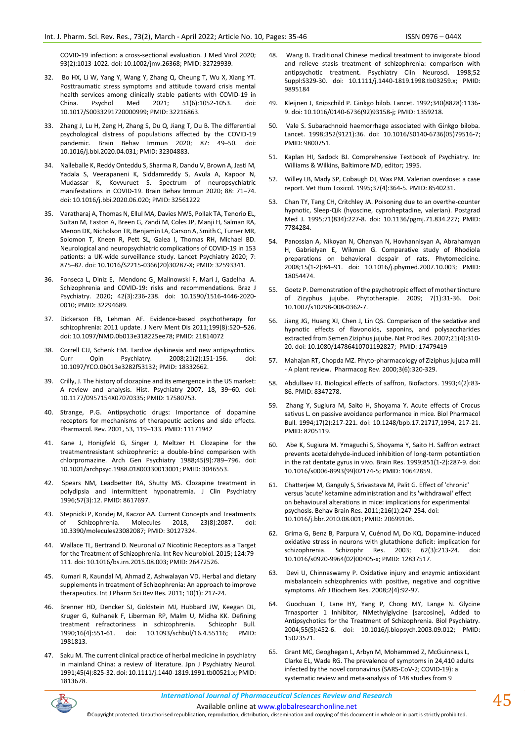COVID-19 infection: a cross-sectional evaluation. J Med Virol 2020; 93(2):1013-1022. doi: 10.1002/jmv.26368; PMID: 32729939.

- 32. Bo HX, Li W, Yang Y, Wang Y, Zhang Q, Cheung T, Wu X, Xiang YT. Posttraumatic stress symptoms and attitude toward crisis mental health services among clinically stable patients with COVID-19 in<br>China. Psychol Med 2021; 51(6):1052-1053. doi: 51(6):1052-1053. doi: 10.1017/S0033291720000999; PMID: 32216863.
- 33. Zhang J, Lu H, Zeng H, Zhang S, Du Q, Jiang T, Du B. The differential psychological distress of populations affected by the COVID-19 pandemic. Brain Behav Immun 2020; 87: 49–50. doi: 10.1016/j.bbi.2020.04.031; PMID: 32304883.
- 34. Nalleballe K, Reddy Onteddu S, Sharma R, Dandu V, Brown A, Jasti M, Yadala S, Veerapaneni K, Siddamreddy S, Avula A, Kapoor N, Mudassar K, Kovvuruet S. Spectrum of neuropsychiatric manifestations in COVID-19. Brain Behav Immun 2020; 88: 71–74. doi: 10.1016/j.bbi.2020.06.020; PMID: 32561222
- 35. Varatharaj A, Thomas N, Ellul MA, Davies NWS, Pollak TA, Tenorio EL, Sultan M, Easton A, Breen G, Zandi M, Coles JP, Manji H, Salman RA, Menon DK, Nicholson TR, Benjamin LA, Carson A, Smith C, Turner MR, Solomon T, Kneen R, Pett SL, Galea I, Thomas RH, Michael BD. Neurological and neuropsychiatric complications of COVID-19 in 153 patients: a UK-wide surveillance study. Lancet Psychiatry 2020; 7: 875–82. doi: 10.1016/S2215-0366(20)30287-X; PMID: 32593341.
- 36. Fonseca L, Diniz E, Mendonc G¸ Malinowski F, Mari J, Gadelha A. Schizophrenia and COVID-19: risks and recommendations. Braz J Psychiatry. 2020; 42(3):236-238. doi: 10.1590/1516-4446-2020- 0010; PMID: 32294689.
- 37. Dickerson FB, Lehman AF. Evidence-based psychotherapy for schizophrenia: 2011 update. J Nerv Ment Dis 2011;199(8):520–526. doi: 10.1097/NMD.0b013e318225ee78; PMID: 21814072
- 38. Correll CU, Schenk EM. Tardive dyskinesia and new antipsychotics. Curr Opin Psychiatry. 2008;21(2):151-156. doi: 10.1097/YCO.0b013e3282f53132; PMID: 18332662.
- 39. Crilly, J. The history of clozapine and its emergence in the US market: A review and analysis. Hist. Psychiatry 2007, 18, 39–60. doi: 10.1177/0957154X07070335; PMID: 17580753.
- 40. Strange, P.G. Antipsychotic drugs: Importance of dopamine receptors for mechanisms of therapeutic actions and side effects. Pharmacol. Rev. 2001, 53, 119–133. PMID: 11171942
- 41. Kane J, Honigfeld G, Singer J, Meltzer H. Clozapine for the treatmentresistant schizophrenic: a double-blind comparison with chlorpromazine. Arch Gen Psychiatry 1988;45(9):789–796. doi: 10.1001/archpsyc.1988.01800330013001; PMID: 3046553.
- 42. Spears NM, Leadbetter RA, Shutty MS. Clozapine treatment in polydipsia and intermittent hyponatremia. J Clin Psychiatry 1996;57(3):12. PMID: 8617697.
- 43. Stepnicki P, Kondej M, Kaczor AA. Current Concepts and Treatments of Schizophrenia. Molecules 2018, 23(8):2087. doi: 10.3390/molecules23082087; PMID: 30127324.
- 44. Wallace TL, Bertrand D. Neuronal α7 Nicotinic Receptors as a Target for the Treatment of Schizophrenia. Int Rev Neurobiol. 2015; 124:79- 111. doi: 10.1016/bs.irn.2015.08.003; PMID: 26472526.
- 45. Kumari R, Kaundal M, Ahmad Z, Ashwalayan VD. Herbal and dietary supplements in treatment of Schizophrenia: An approach to improve therapeutics. Int J Pharm Sci Rev Res. 2011; 10(1): 217-24.
- 46. Brenner HD, Dencker SJ, Goldstein MJ, Hubbard JW, Keegan DL, Kruger G, Kulhanek F, Liberman RP, Malm U, Midha KK. Defining treatment refractoriness in schizophrenia. Schizophr Bull. 1990;16(4):551-61. doi: 10.1093/schbul/16.4.55116; PMID: 1981813.
- 47. Saku M. The current clinical practice of herbal medicine in psychiatry in mainland China: a review of literature. Jpn J Psychiatry Neurol. 1991;45(4):825-32. doi: 10.1111/j.1440-1819.1991.tb00521.x; PMID: 1813678.
- 48. Wang B. Traditional Chinese medical treatment to invigorate blood and relieve stasis treatment of schizophrenia: comparison with antipsychotic treatment. Psychiatry Clin Neurosci. 1998;52 Suppl:S329-30. doi: 10.1111/j.1440-1819.1998.tb03259.x; PMID: 9895184
- 49. Kleijnen J, Knipschild P. Ginkgo bilob. Lancet. 1992;340(8828):1136- 9. doi: 10.1016/0140-6736(92)93158-j; PMID: 1359218.
- 50. Vale S. Subarachnoid haemorrhage associated with Ginkgo biloba. Lancet. 1998;352(9121):36. doi: 10.1016/S0140-6736(05)79516-7; PMID: 9800751.
- 51. Kaplan HI, Sadock BJ. Comprehensive Textbook of Psychiatry. In: Williams & Wilkins, Baltimore MD, editor; 1995.
- 52. Willey LB, Mady SP, Cobaugh DJ, Wax PM. Valerian overdose: a case report. Vet Hum Toxicol. 1995;37(4):364-5. PMID: 8540231.
- 53. Chan TY, Tang CH, Critchley JA. Poisoning due to an overthe-counter hypnotic, Sleep-Qik (hyoscine, cyproheptadine, valerian). Postgrad Med J. 1995;71(834):227-8. doi: 10.1136/pgmj.71.834.227; PMID: 7784284.
- 54. Panossian A, Nikoyan N, Ohanyan N, Hovhannisyan A, Abrahamyan H, Gabrielyan E, Wikman G. Comparative study of Rhodiola preparations on behavioral despair of rats. Phytomedicine. 2008;15(1-2):84–91. doi: 10.1016/j.phymed.2007.10.003; PMID: 18054474.
- 55. Goetz P. Demonstration of the psychotropic effect of mother tincture of Zizyphus jujube. Phytotherapie. 2009; 7(1):31-36. Doi: 10.1007/s10298-008-0362-7.
- 56. Jiang JG, Huang XJ, Chen J, Lin QS. Comparison of the sedative and hypnotic effects of flavonoids, saponins, and polysaccharides extracted from Semen Ziziphus jujube. Nat Prod Res. 2007;21(4):310- 20. doi: 10.1080/14786410701192827; PMID: 17479419
- 57. Mahajan RT, Chopda MZ. Phyto-pharmacology of Ziziphus jujuba mill - A plant review. Pharmacog Rev. 2000;3(6):320-329.
- 58. Abdullaev FJ. Biological effects of saffron, Biofactors. 1993;4(2):83- 86. PMID: 8347278.
- 59. Zhang Y, Sugiura M, Saito H, Shoyama Y. Acute effects of Crocus sativus L. on passive avoidance performance in mice. Biol Pharmacol Bull. 1994;17(2):217-221. doi: 10.1248/bpb.17.21717,1994, 217-21. PMID: 8205119.
- 60. Abe K, Sugiura M. Ymaguchi S, Shoyama Y, Saito H. Saffron extract prevents acetaldehyde-induced inhibition of long-term potentiation in the rat dentate gyrus in vivo. Brain Res. 1999;851(1-2):287-9. doi: 10.1016/s0006-8993(99)02174-5; PMID: 10642859.
- 61. Chatterjee M, Ganguly S, Srivastava M, Palit G. Effect of 'chronic' versus 'acute' ketamine administration and its 'withdrawal' effect on behavioural alterations in mice: implications for experimental psychosis. Behav Brain Res. 2011;216(1):247-254. doi: 10.1016/j.bbr.2010.08.001; PMID: 20699106.
- 62. Grima G, Benz B, Parpura V, Cuénod M, Do KQ. Dopamine-induced oxidative stress in neurons with glutathione deficit: implication for schizophrenia. Schizophr Res. 2003; 62(3):213-24. doi: 10.1016/s0920-9964(02)00405-x; PMID: 12837517.
- 63. Devi U, Chinnaswamy P. Oxidative injury and enzymic antioxidant misbalancein schizophrenics with positive, negative and cognitive symptoms. Afr J Biochem Res. 2008;2(4):92-97.
- 64. Guochuan T, Lane HY, Yang P, Chong MY, Lange N. Glycine Trnasporter 1 Inhibitor, NMethylglycine [sarcosine], Added to Antipsychotics for the Treatment of Schizophrenia. Biol Psychiatry. 2004;55(5):452-6. doi: 10.1016/j.biopsych.2003.09.012; PMID: 15023571.
- 65. Grant MC, Geoghegan L, Arbyn M, Mohammed Z, McGuinness L, Clarke EL, Wade RG. The prevalence of symptoms in 24,410 adults infected by the novel coronavirus (SARS-CoV-2; COVID-19): a systematic review and meta-analysis of 148 studies from 9